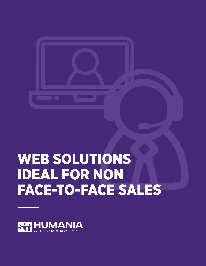# WEB SOLUTIONS IDEAL FOR NON FACE-TO-FACE SALES

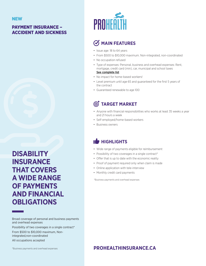#### PAYMENT INSURANCE – ACCIDENT AND SICKNESS

**DISABILITY INSURANCE THAT COVERS A WIDE RANGE OF PAYMENTS AND FINANCIAL OBLIGATIONS**

Broad coverage of personal and business payments and overhead expenses Possibility of two coverages in a single contract\* From \$500 to \$10,000 maximum, Nonintegrated,non-coordinated All occupations accepted

\*Business payments and overhead expenses



# **MAIN FEATURES**

- Issue age: 18 to 64 years
- From \$500 to \$10,000 maximum. Non-integrated, non-coordinated
- No occupation refused
- Type of expenses: Personal, business and overhead expenses: Rent, mortgage, credit card (min), car, municipal and school taxes [See complete list](https://www.humania.ca/en-ca/_media/document/6050-046-payment-insurance-list-types-expenses-en.pdf)
- No impact for home-based workers!
- Level premium until age 65 and guaranteed for the first 5 years of the contract
- Guaranteed renewable to age 100

# **TARGET MARKET**

- Anyone with financial responsibilities who works at least 35 weeks a year and 21 hours a week
- Self-employed/home-based workers
- Business owners

# **HIGHLIGHTS**

- Wide range of payments eligible for reimbursement
- Possibility of two coverages in a single contract\*
- Offer that is up to date with the economic reality
- Proof of payment required only when claim is made
- Online application with tele-interview
- Monthly credit card payments

\*Business payments and overhead expenses

#### **[PROHEALTHINSURANCE.CA](https://www.prohealthinsurance.ca/5575-webapp/home.xhtml)**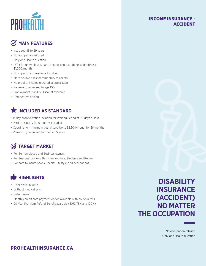

#### INCOME INSURANCE - ACCIDENT

# **MAIN FEATURES**

- Issue age: 18 to 69 years
- No occupations refused
- Only one Health question
- Offer for unemployed, part-time, seasonal, students and retirees: \$1,000/month
- No impact for home based workers
- More flexible rules for temporary residents
- No proof of income required at application
- Renewal: guaranteed to age 100
- Employment Stability Discount available
- Competitive pricing

## **THE INCLUDED AS STANDARD**

- 1st day hospitalization Included for Waiting Period of 90 days or less
- Partial disability for 6 months included
- Coordination: minimum guaranteed Up to \$2,500/month for 36 months
- Premium: guaranteed for the first 5 years

# **TARGET MARKET**

- For Self-employed and Business owners
- For Seasonal workers, Part-time workers, Students and Retirees
- For hard to insure people (health, lifestyle, and occupation)

# **IS HIGHLIGHTS**

- 100% Web solution
- Without medical exam
- Instant issue
- Monthly credit card payment option available with no extra fees
- 20-Year Premium Refund Benefit available (50%, 75% and 100%)

# **DISABILITY INSURANCE (ACCIDENT) NO MATTER THE OCCUPATION**

No occupation refused Only one Health question

## **[PROHEALTHINSURANCE.CA](https://www.prohealthinsurance.ca/5575-webapp/home.xhtml)**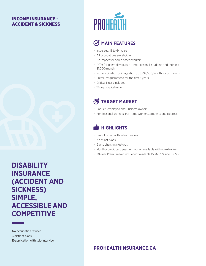#### INCOME INSURANCE - ACCIDENT & SICKNESS



**DISABILITY INSURANCE (ACCIDENT AND SICKNESS) SIMPLE, ACCESSIBLE AND COMPETITIVE**

No occupation refused 3 distinct plans E-application with tele-interview



# **MAIN FEATURES**

- Issue age: 18 to 64 years
- All occupations are eligible
- No impact for home based workers
- Offer for unemployed, part-time, seasonal, students and retirees: \$1,000/month
- No coordination or integration up to \$2,500/month for 36 months
- Premium: guaranteed for the first 5 years
- Critical Illness included
- 1<sup>st</sup> day hospitalization

## **TARGET MARKET**

- For Self-employed and Business owners
- For Seasonal workers, Part-time workers, Students and Retirees

# **IS HIGHLIGHTS**

- E-application with tele-interview
- 3 distinct plans
- Game changing features
- Monthly credit card payment option available with no extra fees
- 20-Year Premium Refund Benefit available (50%, 75% and 100%)

#### **[PROHEALTHINSURANCE.CA](https://www.prohealthinsurance.ca/5575-webapp/home.xhtml)**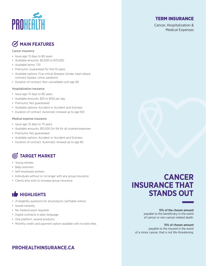

# **MAIN FEATURES**

#### Cancer insurance

- Issue age: 15 days to 80 years
- Available amounts: \$5,000 to \$75,000
- Available terms: T10
- Premiums: Guaranteed for first 10 years
- Available options: Five critical illnesses (stroke, heart attack, coronary bypass, coma, paralysis)
- Duration of contract: Non-cancellable until age 90

#### Hospitalization insurance

- Issue age: 15 days to 80 years
- Available amounts: \$25 to \$150 per day
- Premiums: Not guaranteed
- Available options: Accident or Accident and Sickness
- Duration of contract: Automatic renewal up to age 100

#### Medical expense insurance

- Issue age: 15 days to 75 years
- Available amounts: \$10,000 for life for all covered expenses
- Premiums: Not guaranteed
- Available options: Accident or Accident and Sickness
- Duration of contract: Automatic renewal up to age 80

# **TARGET MARKET**

- Young retirees
- Baby boomers
- Self-employed workers
- Individuals without or no longer with any group insurance
- Clients who wish to increase group insurance

#### $\mathbf T$ **HIGHLIGHTS**

- 21 eligibility questions for all products (verifiable online)
- Issued instantly
- No medical exam required
- Digital contracts in plain language
- One platform, several products
- Monthly credit card payment option available with no extra fees

# **CANCER INSURANCE THAT STANDS OUT**

15% of the chosen amount payable to the beneficiary in the event of cancer or non-cancer related death.

15% of chosen amount payable to the insured in the event of a minor cancer, that is not life-threatening.

# **[PROHEALTHINSURANCE.CA](https://www.prohealthinsurance.ca/5575-webapp/home.xhtml)**

TERM INSURANCE

Cancer, Hospitalization & Medical Expenses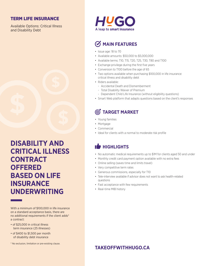#### TERM LIFE INSURANCE

Available Options: Critical Illness and Disability Debt

**DISABILITY AND CRITICAL ILLNESS CONTRACT OFFERED BASED ON LIFE INSURANCE UNDERWRITING**

With a minimum of \$100,000 in life insurance on a standard acceptance basis, there are no additional requirements if the client adds\* a contract:

- of \$25,000 in critical illness term insurance (25 illnesses)
- of \$400 to \$1,500 per month of disability debt insurance

\* No exclusion, limitation or pre-existing clause.



# **MAIN FEATURES**

- Issue age: 18 to 70
- Available amounts: \$50,000 to \$5,000,000
- Available terms: T10, T15, T20, T25, T30, T80 and T100
- Exchange privilege during the first five years
- Conversion to T100 before the age of 65
- Two options available when purchasing \$100,000 in life insurance: critical illness and disability debt
- Riders available:
	- Accidental Death and Dismemberment
	- Total Disability Waiver of Premium
	- Dependent Child Life Insurance (without eligibility questions)
- Smart Web platform that adapts questions based on the client's responses

# **TARGET MARKET**

- Young families
- Mortgage
- Commercial
- Ideal for clients with a normal to moderate risk profile

## **IS HIGHLIGHTS**

- No automatic medical requirements up to \$1M for clients aged 50 and under
- Monthly credit card payment option available with no extra fees
- Online selling (saves time and limits travel)
- Very competitive term rates
- Generous commissions, especially for T10
- Tele-interview available if advisor does not want to ask health-related questions
- Fast acceptance with few requirements
- Real-time MIB history

## **[TAKEOFFWITHHUGO.CA](https://hugo.humania.ca/en-CA/home)**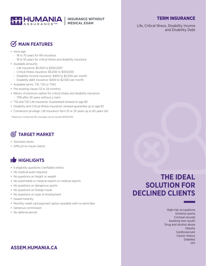

#### TERM INSURANCE

Life, Critical Illness, Disability Income and Disability Debt

# **MAIN FEATURES**

- Issue age:
	- 18 to 70 years for life insurance
- 18 to 55 years for critical illness and disability insurance
- Available amounts:
	- Life insurance: \$5,000 to \$300,000\*
	- Critical illness insurance: \$5,000 to \$100,000
	- Disability income insurance: \$400 to \$2,500 per month
	- Disability debt insurance: \$400 to \$2,500 per month
- Available terms: T10, T20 or T100
- Pre-existing clause (12 or 24 months)
- Return of premium option for critical illness and disability insurance: - 75% after 20 years without a claim
- T10 and T20 Life Insurance: Guaranteed renewal to age 80
- Disability and Critical Illness Insurance: renewal guarantee up to age 65
- Conversion privilege: Life Insurance Term 10 or 20 years up to 65 years old

\* Maximum combined life coverage cannot exceed \$300,000.

# **TARGET MARKET**

- Declined clients
- Difficult-to-insure clients

# **HIGHLIGHTS**

- 6 eligibility questions (verifiable online)
- No medical exam required
- No questions on height or weight
- No automobile or medical reports or medical reports
- No questions on dangerous sports
- No questions on foreign travel
- No questions on type of employment
- Issued instantly
- Monthly credit card payment option available with no extra fees
- Generous commission
- No deferral period

# **THE IDEAL SOLUTION FOR DECLINED CLIENTS**

High-risk occupations Extreme sports Criminal records Awaiting test results Drug and alcohol abuse **Obesity** Cardiovascular Cancer history Diabetes **HIV** 

## **[ASSEM.HUMANIA](https://assem.humania.ca/en-CA/home)[.CA]( https://assem.humania.ca/en-CA/online-quote)**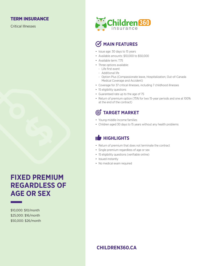#### TERM INSURANCE

Critical Illnesses

# **FIXED PREMIUM REGARDLESS OF AGE OR SEX**

\$10,000: \$10/month \$25,000: \$16/month \$50,000: \$26/month



# *C*/**MAIN FEATURES**

- Issue age: 30 days to 15 years
- Available amounts: \$10,000 to \$50,000
- Available term: T75
- Three options available:
- Life first event
- Additional life
- Option Plus (Compassionate leave, Hospitalization, Out-of-Canada Medical Coverage and Accident)
- Coverage for 37 critical illnesses, including 7 childhood illnesses
- 15 eligibility questions
- Guaranteed rate up to the age of 75
- Return of premium option (75% for two 15-year periods and one at 100% at the end of the contract)

## **TARGET MARKET**

- Young middle-income families
- Children aged 30 days to 15 years without any health problems

## **HIGHLIGHTS**

- Return of premium that does not terminate the contract
- Single premium regardless of age or sex
- 15 eligibility questions (verifiable online)
- Issued instantly
- No medical exam required

### **[CHILDREN360.CA](http://www.children360.ca/home)**